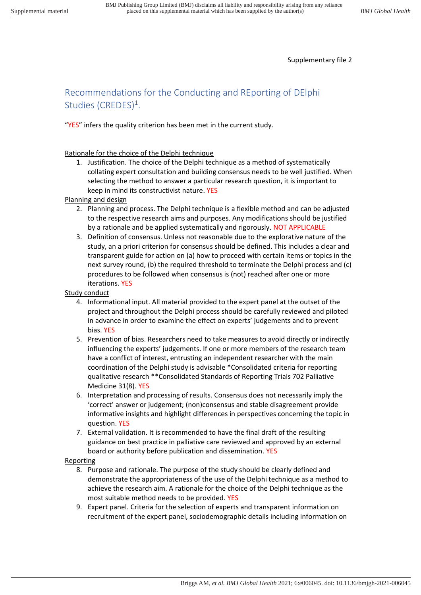Supplementary file 2

# Recommendations for the Conducting and REporting of DElphi Studies (CREDES)<sup>1</sup>.

"YES" infers the quality criterion has been met in the current study.

## Rationale for the choice of the Delphi technique

1. Justification. The choice of the Delphi technique as a method of systematically collating expert consultation and building consensus needs to be well justified. When selecting the method to answer a particular research question, it is important to keep in mind its constructivist nature. YES

## Planning and design

- 2. Planning and process. The Delphi technique is a flexible method and can be adjusted to the respective research aims and purposes. Any modifications should be justified by a rationale and be applied systematically and rigorously. NOT APPLICABLE
- 3. Definition of consensus. Unless not reasonable due to the explorative nature of the study, an a priori criterion for consensus should be defined. This includes a clear and transparent guide for action on (a) how to proceed with certain items or topics in the next survey round, (b) the required threshold to terminate the Delphi process and (c) procedures to be followed when consensus is (not) reached after one or more iterations. YES

## Study conduct

- 4. Informational input. All material provided to the expert panel at the outset of the project and throughout the Delphi process should be carefully reviewed and piloted in advance in order to examine the effect on experts' judgements and to prevent bias. YES
- 5. Prevention of bias. Researchers need to take measures to avoid directly or indirectly influencing the experts' judgements. If one or more members of the research team have a conflict of interest, entrusting an independent researcher with the main coordination of the Delphi study is advisable \*Consolidated criteria for reporting qualitative research \*\*Consolidated Standards of Reporting Trials 702 Palliative Medicine 31(8). YES
- 6. Interpretation and processing of results. Consensus does not necessarily imply the 'correct' answer or judgement; (non)consensus and stable disagreement provide informative insights and highlight differences in perspectives concerning the topic in question. YES
- 7. External validation. It is recommended to have the final draft of the resulting guidance on best practice in palliative care reviewed and approved by an external board or authority before publication and dissemination. YES

## Reporting

- 8. Purpose and rationale. The purpose of the study should be clearly defined and demonstrate the appropriateness of the use of the Delphi technique as a method to achieve the research aim. A rationale for the choice of the Delphi technique as the most suitable method needs to be provided. YES
- 9. Expert panel. Criteria for the selection of experts and transparent information on recruitment of the expert panel, sociodemographic details including information on